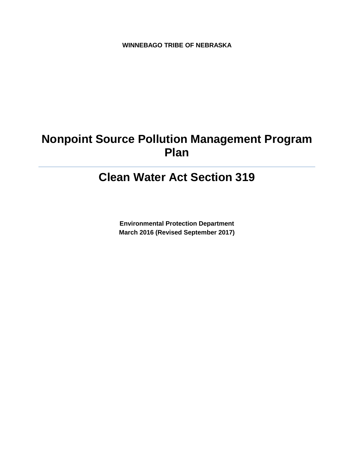**WINNEBAGO TRIBE OF NEBRASKA**

# **Nonpoint Source Pollution Management Program Plan**

# **Clean Water Act Section 319**

**Environmental Protection Department March 2016 (Revised September 2017)**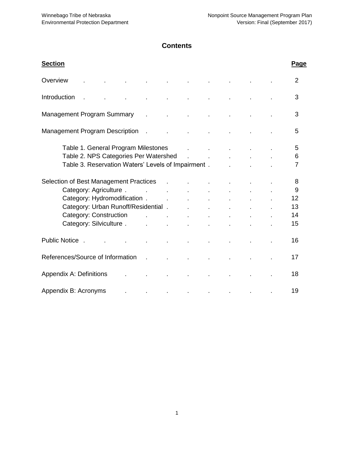# **Contents**

| <b>Section</b>                                                  |                            |         |  |  | Page           |
|-----------------------------------------------------------------|----------------------------|---------|--|--|----------------|
| Overview                                                        |                            |         |  |  | $\overline{2}$ |
| Introduction                                                    |                            |         |  |  | 3              |
| <b>Management Program Summary</b><br>$\mathbf{r}$               |                            |         |  |  | 3              |
| <b>Management Program Description</b><br>$\mathbf{r}$           |                            |         |  |  | 5              |
| Table 1. General Program Milestones                             |                            |         |  |  | 5              |
| Table 2. NPS Categories Per Watershed                           |                            |         |  |  | 6              |
| Table 3. Reservation Waters' Levels of Impairment.              |                            |         |  |  | $\overline{7}$ |
| Selection of Best Management Practices                          | $\sim 10$                  |         |  |  | 8              |
| Category: Agriculture .<br>$\sim$ 100 $\pm$                     | and the state of the state |         |  |  | 9              |
| Category: Hydromodification . The category: Hydromodification . |                            |         |  |  | 12             |
| Category: Urban Runoff/Residential.                             |                            |         |  |  | 13             |
| Category: Construction Fig. 2016. The Category: Construction    |                            |         |  |  | 14             |
| Category: Silviculture.                                         | $\mathbf{r}$               |         |  |  | 15             |
| Public Notice.                                                  |                            |         |  |  | 16             |
| References/Source of Information<br>$\mathbf{r}$                |                            |         |  |  | 17             |
| Appendix A: Definitions                                         |                            |         |  |  | 18             |
| Appendix B: Acronyms                                            | $\bullet$                  | $\cdot$ |  |  | 19             |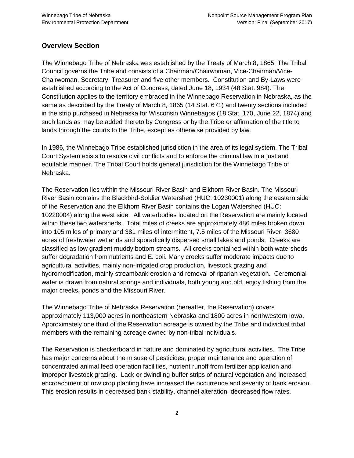#### **Overview Section**

The Winnebago Tribe of Nebraska was established by the Treaty of March 8, 1865. The Tribal Council governs the Tribe and consists of a Chairman/Chairwoman, Vice-Chairman/Vice-Chairwoman, Secretary, Treasurer and five other members. Constitution and By-Laws were established according to the Act of Congress, dated June 18, 1934 (48 Stat. 984). The Constitution applies to the territory embraced in the Winnebago Reservation in Nebraska, as the same as described by the Treaty of March 8, 1865 (14 Stat. 671) and twenty sections included in the strip purchased in Nebraska for Wisconsin Winnebagos (18 Stat. 170, June 22, 1874) and such lands as may be added thereto by Congress or by the Tribe or affirmation of the title to lands through the courts to the Tribe, except as otherwise provided by law.

In 1986, the Winnebago Tribe established jurisdiction in the area of its legal system. The Tribal Court System exists to resolve civil conflicts and to enforce the criminal law in a just and equitable manner. The Tribal Court holds general jurisdiction for the Winnebago Tribe of Nebraska.

The Reservation lies within the Missouri River Basin and Elkhorn River Basin. The Missouri River Basin contains the Blackbird-Soldier Watershed (HUC: 10230001) along the eastern side of the Reservation and the Elkhorn River Basin contains the Logan Watershed (HUC: 10220004) along the west side. All waterbodies located on the Reservation are mainly located within these two watersheds. Total miles of creeks are approximately 486 miles broken down into 105 miles of primary and 381 miles of intermittent, 7.5 miles of the Missouri River, 3680 acres of freshwater wetlands and sporadically dispersed small lakes and ponds. Creeks are classified as low gradient muddy bottom streams. All creeks contained within both watersheds suffer degradation from nutrients and E. coli. Many creeks suffer moderate impacts due to agricultural activities, mainly non-irrigated crop production, livestock grazing and hydromodification, mainly streambank erosion and removal of riparian vegetation. Ceremonial water is drawn from natural springs and individuals, both young and old, enjoy fishing from the major creeks, ponds and the Missouri River.

The Winnebago Tribe of Nebraska Reservation (hereafter, the Reservation) covers approximately 113,000 acres in northeastern Nebraska and 1800 acres in northwestern Iowa. Approximately one third of the Reservation acreage is owned by the Tribe and individual tribal members with the remaining acreage owned by non-tribal individuals.

The Reservation is checkerboard in nature and dominated by agricultural activities. The Tribe has major concerns about the misuse of pesticides, proper maintenance and operation of concentrated animal feed operation facilities, nutrient runoff from fertilizer application and improper livestock grazing. Lack or dwindling buffer strips of natural vegetation and increased encroachment of row crop planting have increased the occurrence and severity of bank erosion. This erosion results in decreased bank stability, channel alteration, decreased flow rates,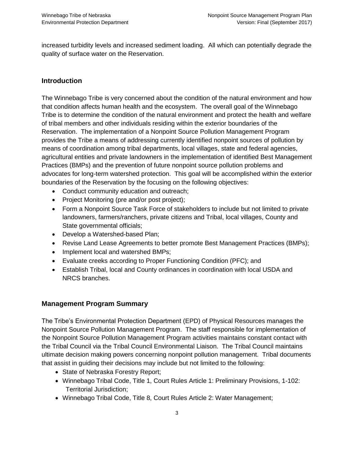increased turbidity levels and increased sediment loading. All which can potentially degrade the quality of surface water on the Reservation.

# **Introduction**

The Winnebago Tribe is very concerned about the condition of the natural environment and how that condition affects human health and the ecosystem. The overall goal of the Winnebago Tribe is to determine the condition of the natural environment and protect the health and welfare of tribal members and other individuals residing within the exterior boundaries of the Reservation. The implementation of a Nonpoint Source Pollution Management Program provides the Tribe a means of addressing currently identified nonpoint sources of pollution by means of coordination among tribal departments, local villages, state and federal agencies, agricultural entities and private landowners in the implementation of identified Best Management Practices (BMPs) and the prevention of future nonpoint source pollution problems and advocates for long-term watershed protection. This goal will be accomplished within the exterior boundaries of the Reservation by the focusing on the following objectives:

- Conduct community education and outreach;
- Project Monitoring (pre and/or post project);
- Form a Nonpoint Source Task Force of stakeholders to include but not limited to private landowners, farmers/ranchers, private citizens and Tribal, local villages, County and State governmental officials;
- Develop a Watershed-based Plan;
- Revise Land Lease Agreements to better promote Best Management Practices (BMPs);
- Implement local and watershed BMPs:
- Evaluate creeks according to Proper Functioning Condition (PFC); and
- Establish Tribal, local and County ordinances in coordination with local USDA and NRCS branches.

### **Management Program Summary**

The Tribe's Environmental Protection Department (EPD) of Physical Resources manages the Nonpoint Source Pollution Management Program. The staff responsible for implementation of the Nonpoint Source Pollution Management Program activities maintains constant contact with the Tribal Council via the Tribal Council Environmental Liaison. The Tribal Council maintains ultimate decision making powers concerning nonpoint pollution management. Tribal documents that assist in guiding their decisions may include but not limited to the following:

- State of Nebraska Forestry Report;
- Winnebago Tribal Code, Title 1, Court Rules Article 1: Preliminary Provisions, 1-102: Territorial Jurisdiction;
- Winnebago Tribal Code, Title 8, Court Rules Article 2: Water Management;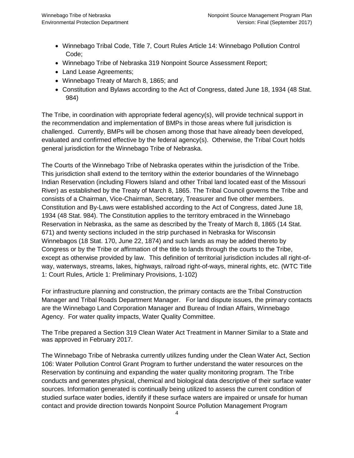- Winnebago Tribal Code, Title 7, Court Rules Article 14: Winnebago Pollution Control Code;
- Winnebago Tribe of Nebraska 319 Nonpoint Source Assessment Report;
- Land Lease Agreements;
- Winnebago Treaty of March 8, 1865; and
- Constitution and Bylaws according to the Act of Congress, dated June 18, 1934 (48 Stat. 984)

The Tribe, in coordination with appropriate federal agency(s), will provide technical support in the recommendation and implementation of BMPs in those areas where full jurisdiction is challenged. Currently, BMPs will be chosen among those that have already been developed, evaluated and confirmed effective by the federal agency(s). Otherwise, the Tribal Court holds general jurisdiction for the Winnebago Tribe of Nebraska.

The Courts of the Winnebago Tribe of Nebraska operates within the jurisdiction of the Tribe. This jurisdiction shall extend to the territory within the exterior boundaries of the Winnebago Indian Reservation (including Flowers Island and other Tribal land located east of the Missouri River) as established by the Treaty of March 8, 1865. The Tribal Council governs the Tribe and consists of a Chairman, Vice-Chairman, Secretary, Treasurer and five other members. Constitution and By-Laws were established according to the Act of Congress, dated June 18, 1934 (48 Stat. 984). The Constitution applies to the territory embraced in the Winnebago Reservation in Nebraska, as the same as described by the Treaty of March 8, 1865 (14 Stat. 671) and twenty sections included in the strip purchased in Nebraska for Wisconsin Winnebagos (18 Stat. 170, June 22, 1874) and such lands as may be added thereto by Congress or by the Tribe or affirmation of the title to lands through the courts to the Tribe, except as otherwise provided by law. This definition of territorial jurisdiction includes all right-ofway, waterways, streams, lakes, highways, railroad right-of-ways, mineral rights, etc. (WTC Title 1: Court Rules, Article 1: Preliminary Provisions, 1-102)

For infrastructure planning and construction, the primary contacts are the Tribal Construction Manager and Tribal Roads Department Manager. For land dispute issues, the primary contacts are the Winnebago Land Corporation Manager and Bureau of Indian Affairs, Winnebago Agency. For water quality impacts, Water Quality Committee.

The Tribe prepared a Section 319 Clean Water Act Treatment in Manner Similar to a State and was approved in February 2017.

The Winnebago Tribe of Nebraska currently utilizes funding under the Clean Water Act, Section 106: Water Pollution Control Grant Program to further understand the water resources on the Reservation by continuing and expanding the water quality monitoring program. The Tribe conducts and generates physical, chemical and biological data descriptive of their surface water sources. Information generated is continually being utilized to assess the current condition of studied surface water bodies, identify if these surface waters are impaired or unsafe for human contact and provide direction towards Nonpoint Source Pollution Management Program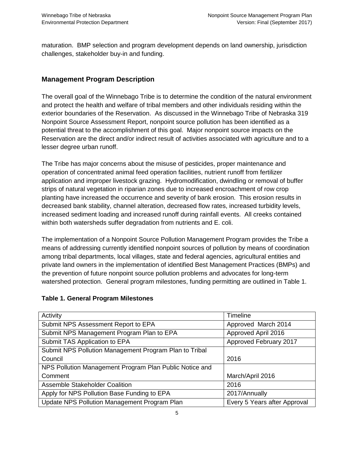maturation. BMP selection and program development depends on land ownership, jurisdiction challenges, stakeholder buy-in and funding.

# **Management Program Description**

The overall goal of the Winnebago Tribe is to determine the condition of the natural environment and protect the health and welfare of tribal members and other individuals residing within the exterior boundaries of the Reservation. As discussed in the Winnebago Tribe of Nebraska 319 Nonpoint Source Assessment Report, nonpoint source pollution has been identified as a potential threat to the accomplishment of this goal. Major nonpoint source impacts on the Reservation are the direct and/or indirect result of activities associated with agriculture and to a lesser degree urban runoff.

The Tribe has major concerns about the misuse of pesticides, proper maintenance and operation of concentrated animal feed operation facilities, nutrient runoff from fertilizer application and improper livestock grazing. Hydromodification, dwindling or removal of buffer strips of natural vegetation in riparian zones due to increased encroachment of row crop planting have increased the occurrence and severity of bank erosion. This erosion results in decreased bank stability, channel alteration, decreased flow rates, increased turbidity levels, increased sediment loading and increased runoff during rainfall events. All creeks contained within both watersheds suffer degradation from nutrients and E. coli.

The implementation of a Nonpoint Source Pollution Management Program provides the Tribe a means of addressing currently identified nonpoint sources of pollution by means of coordination among tribal departments, local villages, state and federal agencies, agricultural entities and private land owners in the implementation of identified Best Management Practices (BMPs) and the prevention of future nonpoint source pollution problems and advocates for long-term watershed protection. General program milestones, funding permitting are outlined in Table 1.

| Activity                                                | Timeline                     |
|---------------------------------------------------------|------------------------------|
| Submit NPS Assessment Report to EPA                     | Approved March 2014          |
| Submit NPS Management Program Plan to EPA               | Approved April 2016          |
| Submit TAS Application to EPA                           | Approved February 2017       |
| Submit NPS Pollution Management Program Plan to Tribal  |                              |
| Council                                                 | 2016                         |
| NPS Pollution Management Program Plan Public Notice and |                              |
| Comment                                                 | March/April 2016             |
| Assemble Stakeholder Coalition                          | 2016                         |
| Apply for NPS Pollution Base Funding to EPA             | 2017/Annually                |
| Update NPS Pollution Management Program Plan            | Every 5 Years after Approval |

#### **Table 1. General Program Milestones**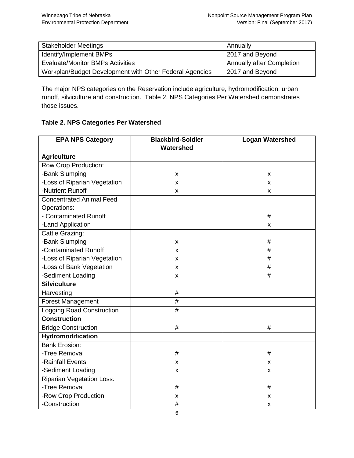| <b>Stakeholder Meetings</b>                             | Annually                         |
|---------------------------------------------------------|----------------------------------|
| Identify/Implement BMPs                                 | 2017 and Beyond                  |
| <b>Evaluate/Monitor BMPs Activities</b>                 | <b>Annually after Completion</b> |
| Workplan/Budget Development with Other Federal Agencies | 2017 and Beyond                  |

The major NPS categories on the Reservation include agriculture, hydromodification, urban runoff, silviculture and construction. Table 2. NPS Categories Per Watershed demonstrates those issues.

#### **Table 2. NPS Categories Per Watershed**

| <b>EPA NPS Category</b>          | <b>Blackbird-Soldier</b> | <b>Logan Watershed</b> |
|----------------------------------|--------------------------|------------------------|
|                                  | Watershed                |                        |
| <b>Agriculture</b>               |                          |                        |
| Row Crop Production:             |                          |                        |
| -Bank Slumping                   | X                        | X                      |
| -Loss of Riparian Vegetation     | X                        | x                      |
| -Nutrient Runoff                 | X                        | x                      |
| <b>Concentrated Animal Feed</b>  |                          |                        |
| Operations:                      |                          |                        |
| - Contaminated Runoff            |                          | #                      |
| -Land Application                |                          | X                      |
| Cattle Grazing:                  |                          |                        |
| -Bank Slumping                   | X                        | #                      |
| -Contaminated Runoff             | X                        | #                      |
| -Loss of Riparian Vegetation     | X                        | #                      |
| -Loss of Bank Vegetation         | X                        | #                      |
| -Sediment Loading                | X                        | #                      |
| <b>Silviculture</b>              |                          |                        |
| Harvesting                       | #                        |                        |
| <b>Forest Management</b>         | #                        |                        |
| <b>Logging Road Construction</b> | #                        |                        |
| <b>Construction</b>              |                          |                        |
| <b>Bridge Construction</b>       | #                        | #                      |
| Hydromodification                |                          |                        |
| <b>Bank Erosion:</b>             |                          |                        |
| -Tree Removal                    | #                        | #                      |
| -Rainfall Events                 | X                        | x                      |
| -Sediment Loading                | x                        | x                      |
| <b>Riparian Vegetation Loss:</b> |                          |                        |
| -Tree Removal                    | #                        | #                      |
| -Row Crop Production             | x                        | х                      |
| -Construction                    | #                        | X                      |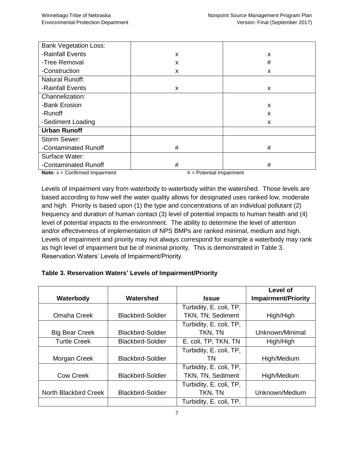| <b>Bank Vegetation Loss:</b> |   |   |
|------------------------------|---|---|
| -Rainfall Events             | X | X |
| -Tree Removal                | X | # |
| -Construction                | X | X |
| <b>Natural Runoff:</b>       |   |   |
| -Rainfall Events             | X | X |
| Channelization:              |   |   |
| -Bank Erosion                |   | X |
| -Runoff                      |   | X |
| -Sediment Loading            |   | X |
| <b>Urban Runoff</b>          |   |   |
| Storm Sewer:                 |   |   |
| -Contaminated Runoff         | # | # |
| Surface Water:               |   |   |
| -Contaminated Runoff         | # | # |

**Note:**  $x =$  Confirmed Impairment  $x =$  Potential Impairment

Levels of impairment vary from waterbody to waterbody within the watershed. Those levels are based according to how well the water quality allows for designated uses ranked low, moderate and high. Priority is based upon (1) the type and concentrations of an individual pollutant (2) frequency and duration of human contact (3) level of potential impacts to human health and (4) level of potential impacts to the environment. The ability to determine the level of attention and/or effectiveness of implementation of NPS BMPs are ranked minimal, medium and high. Levels of impairment and priority may not always correspond for example a waterbody may rank as high level of impairment but be of minimal priority. This is demonstrated in Table 3. Reservation Waters' Levels of Impairment/Priority.

#### **Table 3. Reservation Waters' Levels of Impairment/Priority**

|                       |                          |                         | Level of                   |
|-----------------------|--------------------------|-------------------------|----------------------------|
| Waterbody             | Watershed                | <b>Issue</b>            | <b>Impairment/Priority</b> |
|                       |                          | Turbidity, E. coli, TP, |                            |
| Omaha Creek           | <b>Blackbird-Soldier</b> | TKN, TN, Sediment       | High/High                  |
|                       |                          | Turbidity, E. coli, TP, |                            |
| <b>Big Bear Creek</b> | <b>Blackbird-Soldier</b> | TKN, TN                 | Unknown/Minimal            |
| <b>Turtle Creek</b>   | <b>Blackbird-Soldier</b> | E. coli, TP, TKN, TN    | High/High                  |
|                       |                          | Turbidity, E. coli, TP, |                            |
| Morgan Creek          | <b>Blackbird-Soldier</b> | ΤN                      | High/Medium                |
|                       |                          | Turbidity, E. coli, TP, |                            |
| <b>Cow Creek</b>      | <b>Blackbird-Soldier</b> | TKN, TN, Sediment       | High/Medium                |
|                       |                          | Turbidity, E. coli, TP, |                            |
| North Blackbird Creek | <b>Blackbird-Soldier</b> | TKN, TN                 | Unknown/Medium             |
|                       |                          | Turbidity, E. coli, TP, |                            |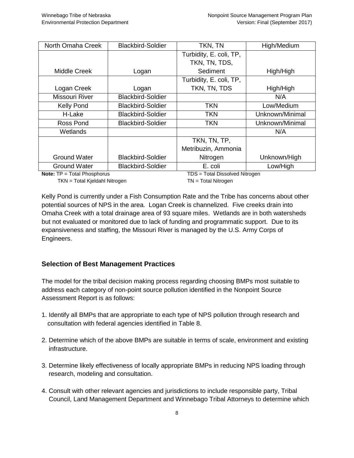| North Omaha Creek   | <b>Blackbird-Soldier</b> | TKN, TN                 | High/Medium     |
|---------------------|--------------------------|-------------------------|-----------------|
|                     |                          | Turbidity, E. coli, TP, |                 |
|                     |                          | TKN, TN, TDS,           |                 |
| <b>Middle Creek</b> | Logan                    | Sediment                | High/High       |
|                     |                          | Turbidity, E. coli, TP, |                 |
| Logan Creek         | Logan                    | TKN, TN, TDS            | High/High       |
| Missouri River      | <b>Blackbird-Soldier</b> |                         | N/A             |
| <b>Kelly Pond</b>   | <b>Blackbird-Soldier</b> | <b>TKN</b>              | Low/Medium      |
| H-Lake              | <b>Blackbird-Soldier</b> | <b>TKN</b>              | Unknown/Minimal |
| Ross Pond           | <b>Blackbird-Soldier</b> | <b>TKN</b>              | Unknown/Minimal |
| Wetlands            |                          |                         | N/A             |
|                     |                          | TKN, TN, TP,            |                 |
|                     |                          | Metribuzin, Ammonia     |                 |
| Ground Water        | <b>Blackbird-Soldier</b> | Nitrogen                | Unknown/High    |
| <b>Ground Water</b> | <b>Blackbird-Soldier</b> | E. coli                 | Low/High        |

**Note:**  $TP = Total Phosphorus$  TDS = Total Dissolved Nitrogen

TKN = Total Kjeldahl Nitrogen TKN = Total Nitrogen

Kelly Pond is currently under a Fish Consumption Rate and the Tribe has concerns about other potential sources of NPS in the area. Logan Creek is channelized. Five creeks drain into Omaha Creek with a total drainage area of 93 square miles. Wetlands are in both watersheds but not evaluated or monitored due to lack of funding and programmatic support. Due to its expansiveness and staffing, the Missouri River is managed by the U.S. Army Corps of Engineers.

# **Selection of Best Management Practices**

The model for the tribal decision making process regarding choosing BMPs most suitable to address each category of non-point source pollution identified in the Nonpoint Source Assessment Report is as follows:

- 1. Identify all BMPs that are appropriate to each type of NPS pollution through research and consultation with federal agencies identified in Table 8.
- 2. Determine which of the above BMPs are suitable in terms of scale, environment and existing infrastructure.
- 3. Determine likely effectiveness of locally appropriate BMPs in reducing NPS loading through research, modeling and consultation.
- 4. Consult with other relevant agencies and jurisdictions to include responsible party, Tribal Council, Land Management Department and Winnebago Tribal Attorneys to determine which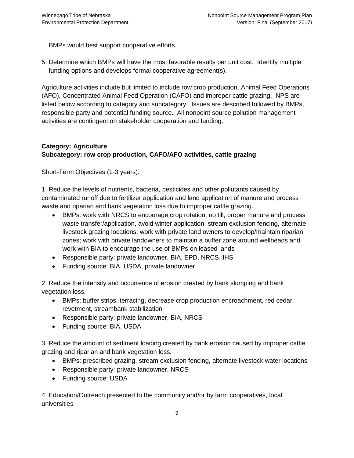BMPs would best support cooperative efforts.

5. Determine which BMPs will have the most favorable results per unit cost. Identify multiple funding options and develops formal cooperative agreement(s).

Agriculture activities include but limited to include row crop production, Animal Feed Operations (AFO), Concentrated Animal Feed Operation (CAFO) and improper cattle grazing. NPS are listed below according to category and subcategory. Issues are described followed by BMPs, responsible party and potential funding source. All nonpoint source pollution management activities are contingent on stakeholder cooperation and funding.

#### **Category: Agriculture**

### **Subcategory: row crop production, CAFO/AFO activities, cattle grazing**

Short-Term Objectives (1-3 years):

1. Reduce the levels of nutrients, bacteria, pesticides and other pollutants caused by contaminated runoff due to fertilizer application and land application of manure and process waste and riparian and bank vegetation loss due to improper cattle grazing.

- BMPs: work with NRCS to encourage crop rotation, no till, proper manure and process waste transfer/application, avoid winter application, stream exclusion fencing, alternate livestock grazing locations; work with private land owners to develop/maintain riparian zones; work with private landowners to maintain a buffer zone around wellheads and work with BIA to encourage the use of BMPs on leased lands
- Responsible party: private landowner, BIA, EPD, NRCS, IHS
- Funding source: BIA, USDA, private landowner

2. Reduce the intensity and occurrence of erosion created by bank slumping and bank vegetation loss.

- BMPs: buffer strips, terracing, decrease crop production encroachment, red cedar revetment, streambank stabilization
- Responsible party: private landowner, BIA, NRCS
- Funding source: BIA, USDA

3. Reduce the amount of sediment loading created by bank erosion caused by improper cattle grazing and riparian and bank vegetation loss.

- BMPs: prescribed grazing, stream exclusion fencing, alternate livestock water locations
- Responsible party: private landowner, NRCS
- Funding source: USDA

4. Education/Outreach presented to the community and/or by farm cooperatives, local universities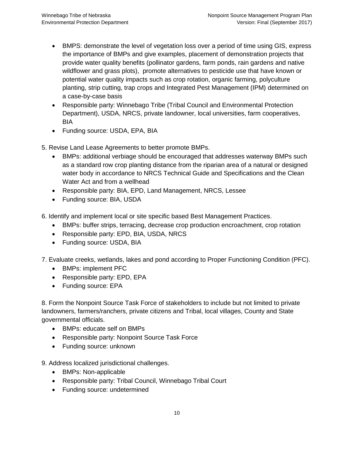- BMPS: demonstrate the level of vegetation loss over a period of time using GIS, express the importance of BMPs and give examples, placement of demonstration projects that provide water quality benefits (pollinator gardens, farm ponds, rain gardens and native wildflower and grass plots), promote alternatives to pesticide use that have known or potential water quality impacts such as crop rotation, organic farming, polyculture planting, strip cutting, trap crops and Integrated Pest Management (IPM) determined on a case-by-case basis
- Responsible party: Winnebago Tribe (Tribal Council and Environmental Protection Department), USDA, NRCS, private landowner, local universities, farm cooperatives, BIA
- Funding source: USDA, EPA, BIA
- 5. Revise Land Lease Agreements to better promote BMPs.
	- BMPs: additional verbiage should be encouraged that addresses waterway BMPs such as a standard row crop planting distance from the riparian area of a natural or designed water body in accordance to NRCS Technical Guide and Specifications and the Clean Water Act and from a wellhead
	- Responsible party: BIA, EPD, Land Management, NRCS, Lessee
	- Funding source: BIA, USDA

6. Identify and implement local or site specific based Best Management Practices.

- BMPs: buffer strips, terracing, decrease crop production encroachment, crop rotation
- Responsible party: EPD, BIA, USDA, NRCS
- Funding source: USDA, BIA

7. Evaluate creeks, wetlands, lakes and pond according to Proper Functioning Condition (PFC).

- BMPs: implement PFC
- Responsible party: EPD, EPA
- Funding source: EPA

8. Form the Nonpoint Source Task Force of stakeholders to include but not limited to private landowners, farmers/ranchers, private citizens and Tribal, local villages, County and State governmental officials.

- BMPs: educate self on BMPs
- Responsible party: Nonpoint Source Task Force
- Funding source: unknown
- 9. Address localized jurisdictional challenges.
	- BMPs: Non-applicable
	- Responsible party: Tribal Council, Winnebago Tribal Court
	- Funding source: undetermined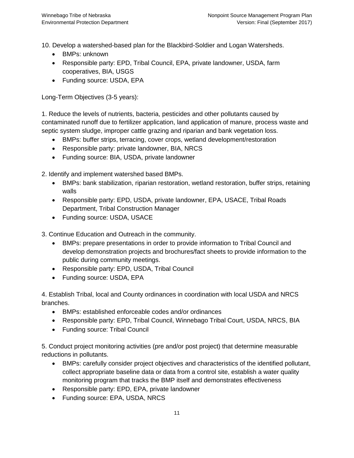10. Develop a watershed-based plan for the Blackbird-Soldier and Logan Watersheds.

- BMPs: unknown
- Responsible party: EPD, Tribal Council, EPA, private landowner, USDA, farm cooperatives, BIA, USGS
- Funding source: USDA, EPA

Long-Term Objectives (3-5 years):

1. Reduce the levels of nutrients, bacteria, pesticides and other pollutants caused by contaminated runoff due to fertilizer application, land application of manure, process waste and septic system sludge, improper cattle grazing and riparian and bank vegetation loss.

- BMPs: buffer strips, terracing, cover crops, wetland development/restoration
- Responsible party: private landowner, BIA, NRCS
- Funding source: BIA, USDA, private landowner

2. Identify and implement watershed based BMPs.

- BMPs: bank stabilization, riparian restoration, wetland restoration, buffer strips, retaining walls
- Responsible party: EPD, USDA, private landowner, EPA, USACE, Tribal Roads Department, Tribal Construction Manager
- Funding source: USDA, USACE

3. Continue Education and Outreach in the community.

- BMPs: prepare presentations in order to provide information to Tribal Council and develop demonstration projects and brochures/fact sheets to provide information to the public during community meetings.
- Responsible party: EPD, USDA, Tribal Council
- Funding source: USDA, EPA

4. Establish Tribal, local and County ordinances in coordination with local USDA and NRCS branches.

- BMPs: established enforceable codes and/or ordinances
- Responsible party: EPD, Tribal Council, Winnebago Tribal Court, USDA, NRCS, BIA
- Funding source: Tribal Council

5. Conduct project monitoring activities (pre and/or post project) that determine measurable reductions in pollutants.

- BMPs: carefully consider project objectives and characteristics of the identified pollutant, collect appropriate baseline data or data from a control site, establish a water quality monitoring program that tracks the BMP itself and demonstrates effectiveness
- Responsible party: EPD, EPA, private landowner
- Funding source: EPA, USDA, NRCS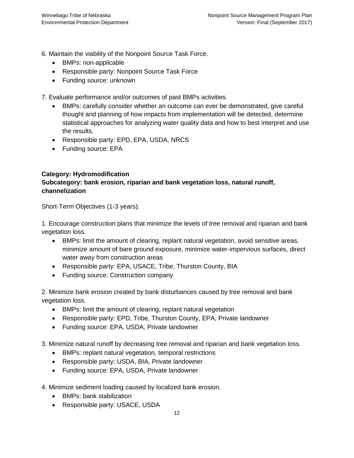6. Maintain the viability of the Nonpoint Source Task Force.

- BMPs: non-applicable
- Responsible party: Nonpoint Source Task Force
- Funding source: unknown

7. Evaluate performance and/or outcomes of past BMPs activities.

- BMPs: carefully consider whether an outcome can ever be demonstrated, give careful thought and planning of how impacts from implementation will be detected, determine statistical approaches for analyzing water quality data and how to best interpret and use the results,
- Responsible party: EPD, EPA, USDA, NRCS
- Funding source: EPA

#### **Category: Hydromodification**

### **Subcategory: bank erosion, riparian and bank vegetation loss, natural runoff, channelization**

Short-Term Objectives (1-3 years):

1. Encourage construction plans that minimize the levels of tree removal and riparian and bank vegetation loss.

- BMPs: limit the amount of clearing, replant natural vegetation, avoid sensitive areas, minimize amount of bare ground exposure, minimize water-impervious surfaces, direct water away from construction areas
- Responsible party: EPA, USACE, Tribe, Thurston County, BIA
- Funding source: Construction company

2. Minimize bank erosion created by bank disturbances caused by tree removal and bank vegetation loss.

- BMPs: limit the amount of clearing, replant natural vegetation
- Responsible party: EPD, Tribe, Thurston County, EPA, Private landowner
- Funding source: EPA, USDA, Private landowner

3. Minimize natural runoff by decreasing tree removal and riparian and bank vegetation loss.

- BMPs: replant natural vegetation, temporal restrictions
- Responsible party: USDA, BIA, Private landowner
- Funding source: EPA, USDA, Private landowner

4. Minimize sediment loading caused by localized bank erosion.

- BMPs: bank stabilization
- Responsible party: USACE, USDA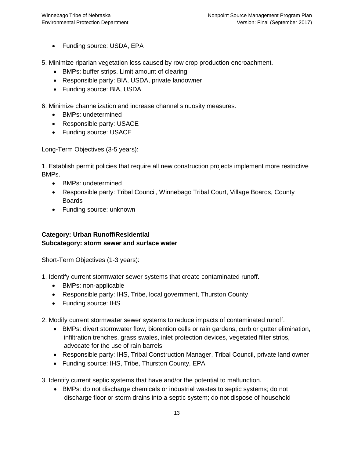• Funding source: USDA, EPA

5. Minimize riparian vegetation loss caused by row crop production encroachment.

- BMPs: buffer strips. Limit amount of clearing
- Responsible party: BIA, USDA, private landowner
- Funding source: BIA, USDA

6. Minimize channelization and increase channel sinuosity measures.

- BMPs: undetermined
- Responsible party: USACE
- Funding source: USACE

Long-Term Objectives (3-5 years):

1. Establish permit policies that require all new construction projects implement more restrictive BMPs.

- BMPs: undetermined
- Responsible party: Tribal Council, Winnebago Tribal Court, Village Boards, County Boards
- Funding source: unknown

# **Category: Urban Runoff/Residential Subcategory: storm sewer and surface water**

Short-Term Objectives (1-3 years):

- 1. Identify current stormwater sewer systems that create contaminated runoff.
	- BMPs: non-applicable
	- Responsible party: IHS, Tribe, local government, Thurston County
	- Funding source: IHS

2. Modify current stormwater sewer systems to reduce impacts of contaminated runoff.

- BMPs: divert stormwater flow, biorention cells or rain gardens, curb or gutter elimination, infiltration trenches, grass swales, inlet protection devices, vegetated filter strips, advocate for the use of rain barrels
- Responsible party: IHS, Tribal Construction Manager, Tribal Council, private land owner
- Funding source: IHS, Tribe, Thurston County, EPA

3. Identify current septic systems that have and/or the potential to malfunction.

 BMPs: do not discharge chemicals or industrial wastes to septic systems; do not discharge floor or storm drains into a septic system; do not dispose of household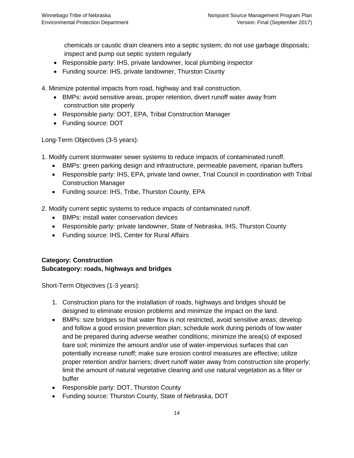chemicals or caustic drain cleaners into a septic system; do not use garbage disposals; inspect and pump out septic system regularly

- Responsible party: IHS, private landowner, local plumbing inspector
- Funding source: IHS, private landowner, Thurston County

4. Minimize potential impacts from road, highway and trail construction.

- BMPs: avoid sensitive areas, proper retention, divert runoff water away from construction site properly
- Responsible party: DOT, EPA, Tribal Construction Manager
- Funding source: DOT

Long-Term Objectives (3-5 years):

1. Modify current stormwater sewer systems to reduce impacts of contaminated runoff.

- BMPs: green parking design and infrastructure, permeable pavement, riparian buffers
- Responsible party: IHS, EPA, private land owner, Trial Council in coordination with Tribal Construction Manager
- Funding source: IHS, Tribe, Thurston County, EPA

2. Modify current septic systems to reduce impacts of contaminated runoff.

- BMPs: install water conservation devices
- Responsible party: private landowner, State of Nebraska, IHS, Thurston County
- Funding source: IHS, Center for Rural Affairs

# **Category: Construction Subcategory: roads, highways and bridges**

Short-Term Objectives (1-3 years):

- 1. Construction plans for the installation of roads, highways and bridges should be designed to eliminate erosion problems and minimize the impact on the land.
- BMPs: size bridges so that water flow is not restricted, avoid sensitive areas; develop and follow a good erosion prevention plan; schedule work during periods of low water and be prepared during adverse weather conditions; minimize the area(s) of exposed bare soil; minimize the amount and/or use of water-impervious surfaces that can potentially increase runoff; make sure erosion control measures are effective; utilize proper retention and/or barriers; divert runoff water away from construction site properly; limit the amount of natural vegetative clearing and use natural vegetation as a filter or buffer
- Responsible party: DOT, Thurston County
- Funding source: Thurston County, State of Nebraska, DOT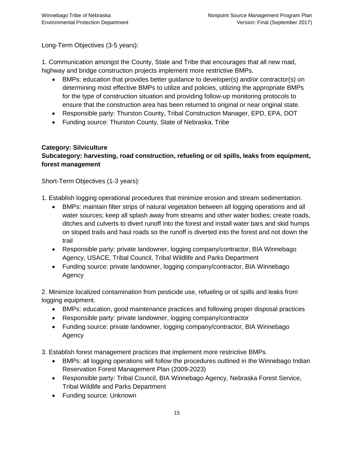Long-Term Objectives (3-5 years):

1. Communication amongst the County, State and Tribe that encourages that all new road, highway and bridge construction projects implement more restrictive BMPs.

- BMPs: education that provides better guidance to developer(s) and/or contractor(s) on determining most effective BMPs to utilize and policies, utilizing the appropriate BMPs for the type of construction situation and providing follow-up monitoring protocols to ensure that the construction area has been returned to original or near original state.
- Responsible party: Thurston County, Tribal Construction Manager, EPD, EPA, DOT
- Funding source: Thurston County, State of Nebraska, Tribe

### **Category: Silviculture**

# **Subcategory: harvesting, road construction, refueling or oil spills, leaks from equipment, forest management**

Short-Term Objectives (1-3 years):

- 1. Establish logging operational procedures that minimize erosion and stream sedimentation.
	- BMPs: maintain filter strips of natural vegetation between all logging operations and all water sources; keep all splash away from streams and other water bodies; create roads, ditches and culverts to divert runoff into the forest and install water bars and skid humps on sloped trails and haul roads so the runoff is diverted into the forest and not down the trail
	- Responsible party: private landowner, logging company/contractor, BIA Winnebago Agency, USACE, Tribal Council, Tribal Wildlife and Parks Department
	- Funding source: private landowner, logging company/contractor, BIA Winnebago Agency

2. Minimize localized contamination from pesticide use, refueling or oil spills and leaks from logging equipment.

- BMPs: education, good maintenance practices and following proper disposal practices
- Responsible party: private landowner, logging company/contractor
- Funding source: private landowner, logging company/contractor, BIA Winnebago Agency
- 3. Establish forest management practices that implement more restrictive BMPs.
	- BMPs: all logging operations will follow the procedures outlined in the Winnebago Indian Reservation Forest Management Plan (2009-2023)
	- Responsible party: Tribal Council, BIA Winnebago Agency, Nebraska Forest Service, Tribal Wildlife and Parks Department
	- Funding source: Unknown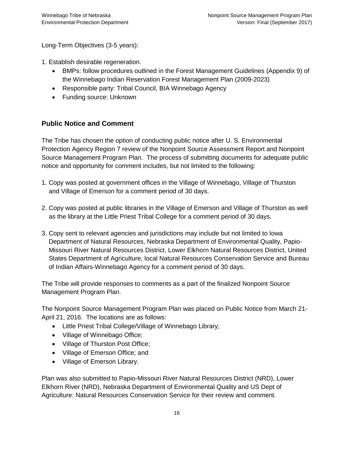Long-Term Objectives (3-5 years):

- 1. Establish desirable regeneration.
	- BMPs: follow procedures outlined in the Forest Management Guidelines (Appendix 9) of the Winnebago Indian Reservation Forest Management Plan (2009-2023)
	- Responsible party: Tribal Council, BIA Winnebago Agency
	- Funding source: Unknown

# **Public Notice and Comment**

The Tribe has chosen the option of conducting public notice after U. S. Environmental Protection Agency Region 7 review of the Nonpoint Source Assessment Report and Nonpoint Source Management Program Plan. The process of submitting documents for adequate public notice and opportunity for comment includes, but not limited to the following:

- 1. Copy was posted at government offices in the Village of Winnebago, Village of Thurston and Village of Emerson for a comment period of 30 days.
- 2. Copy was posted at public libraries in the Village of Emerson and Village of Thurston as well as the library at the Little Priest Tribal College for a comment period of 30 days.
- 3. Copy sent to relevant agencies and jurisdictions may include but not limited to Iowa Department of Natural Resources, Nebraska Department of Environmental Quality, Papio- Missouri River Natural Resources District, Lower Elkhorn Natural Resources District, United States Department of Agriculture, local Natural Resources Conservation Service and Bureau of Indian Affairs-Winnebago Agency for a comment period of 30 days.

The Tribe will provide responses to comments as a part of the finalized Nonpoint Source Management Program Plan.

The Nonpoint Source Management Program Plan was placed on Public Notice from March 21- April 21, 2016. The locations are as follows:

- Little Priest Tribal College/Village of Winnebago Library;
- Village of Winnebago Office;
- Village of Thurston Post Office;
- Village of Emerson Office; and
- Village of Emerson Library.

Plan was also submitted to Papio-Missouri River Natural Resources District (NRD), Lower Elkhorn River (NRD), Nebraska Department of Environmental Quality and US Dept of Agriculture: Natural Resources Conservation Service for their review and comment.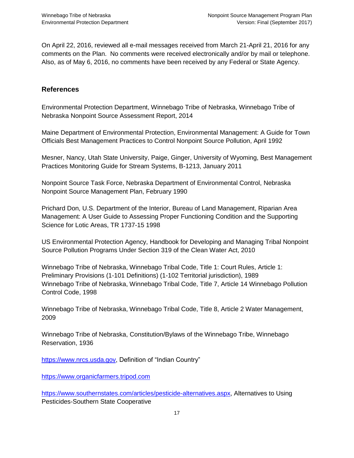On April 22, 2016, reviewed all e-mail messages received from March 21-April 21, 2016 for any comments on the Plan. No comments were received electronically and/or by mail or telephone. Also, as of May 6, 2016, no comments have been received by any Federal or State Agency.

### **References**

Environmental Protection Department, Winnebago Tribe of Nebraska, Winnebago Tribe of Nebraska Nonpoint Source Assessment Report, 2014

Maine Department of Environmental Protection, Environmental Management: A Guide for Town Officials Best Management Practices to Control Nonpoint Source Pollution, April 1992

Mesner, Nancy, Utah State University, Paige, Ginger, University of Wyoming, Best Management Practices Monitoring Guide for Stream Systems, B-1213, January 2011

Nonpoint Source Task Force, Nebraska Department of Environmental Control, Nebraska Nonpoint Source Management Plan, February 1990

Prichard Don, U.S. Department of the Interior, Bureau of Land Management, Riparian Area Management: A User Guide to Assessing Proper Functioning Condition and the Supporting Science for Lotic Areas, TR 1737-15 1998

US Environmental Protection Agency, Handbook for Developing and Managing Tribal Nonpoint Source Pollution Programs Under Section 319 of the Clean Water Act, 2010

Winnebago Tribe of Nebraska, Winnebago Tribal Code, Title 1: Court Rules, Article 1: Preliminary Provisions (1-101 Definitions) (1-102 Territorial jurisdiction), 1989 Winnebago Tribe of Nebraska, Winnebago Tribal Code, Title 7, Article 14 Winnebago Pollution Control Code, 1998

Winnebago Tribe of Nebraska, Winnebago Tribal Code, Title 8, Article 2 Water Management, 2009

Winnebago Tribe of Nebraska, Constitution/Bylaws of the Winnebago Tribe, Winnebago Reservation, 1936

[https://www.nrcs.usda.gov,](https://www.nrcs.usda.gov/) Definition of "Indian Country"

[https://www.organicfarmers.tripod.com](https://www.organicfarmers.tripod.com/)

[https://www.southernstates.com/articles/pesticide-alternatives.aspx,](https://www.southernstates.com/articles/pesticide-alternatives.aspx) Alternatives to Using Pesticides-Southern State Cooperative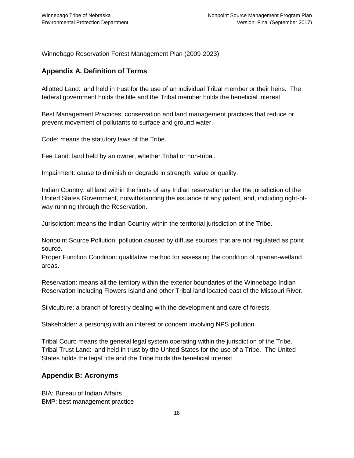Winnebago Reservation Forest Management Plan (2009-2023)

#### **Appendix A. Definition of Terms**

Allotted Land: land held in trust for the use of an individual Tribal member or their heirs. The federal government holds the title and the Tribal member holds the beneficial interest.

Best Management Practices: conservation and land management practices that reduce or prevent movement of pollutants to surface and ground water.

Code: means the statutory laws of the Tribe.

Fee Land: land held by an owner, whether Tribal or non-tribal.

Impairment: cause to diminish or degrade in strength, value or quality.

Indian Country: all land within the limits of any Indian reservation under the jurisdiction of the United States Government, notwithstanding the issuance of any patent, and, including right-ofway running through the Reservation.

Jurisdiction: means the Indian Country within the territorial jurisdiction of the Tribe.

Nonpoint Source Pollution: pollution caused by diffuse sources that are not regulated as point source.

Proper Function Condition: qualitative method for assessing the condition of riparian-wetland areas.

Reservation: means all the territory within the exterior boundaries of the Winnebago Indian Reservation including Flowers Island and other Tribal land located east of the Missouri River.

Silviculture: a branch of forestry dealing with the development and care of forests.

Stakeholder: a person(s) with an interest or concern involving NPS pollution.

Tribal Court: means the general legal system operating within the jurisdiction of the Tribe. Tribal Trust Land: land held in trust by the United States for the use of a Tribe. The United States holds the legal title and the Tribe holds the beneficial interest.

#### **Appendix B: Acronyms**

BIA: Bureau of Indian Affairs BMP: best management practice